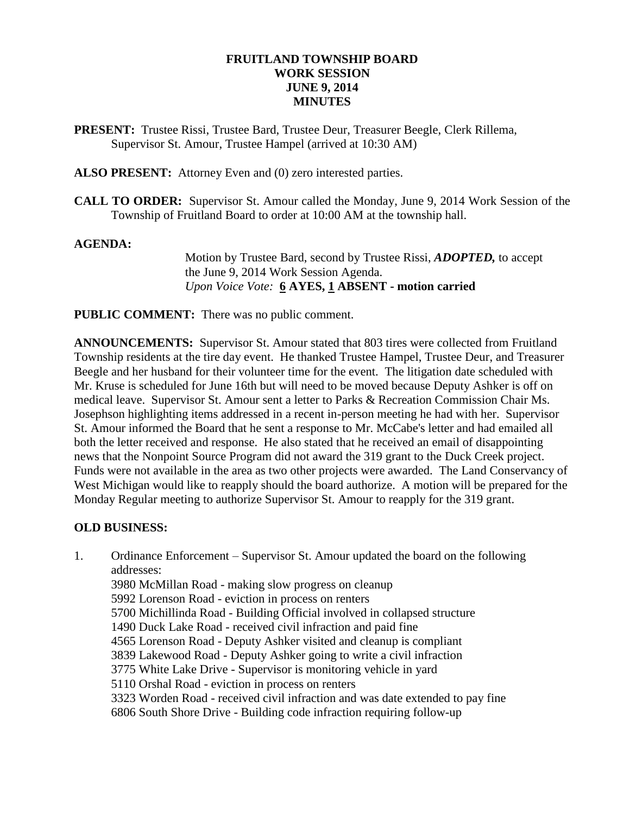## **FRUITLAND TOWNSHIP BOARD WORK SESSION JUNE 9, 2014 MINUTES**

**PRESENT:** Trustee Rissi, Trustee Bard, Trustee Deur, Treasurer Beegle, Clerk Rillema, Supervisor St. Amour, Trustee Hampel (arrived at 10:30 AM)

**ALSO PRESENT:** Attorney Even and (0) zero interested parties.

**CALL TO ORDER:** Supervisor St. Amour called the Monday, June 9, 2014 Work Session of the Township of Fruitland Board to order at 10:00 AM at the township hall.

#### **AGENDA:**

Motion by Trustee Bard, second by Trustee Rissi, *ADOPTED,* to accept the June 9, 2014 Work Session Agenda. *Upon Voice Vote:* **6 AYES, 1 ABSENT - motion carried**

**PUBLIC COMMENT:** There was no public comment.

**ANNOUNCEMENTS:** Supervisor St. Amour stated that 803 tires were collected from Fruitland Township residents at the tire day event. He thanked Trustee Hampel, Trustee Deur, and Treasurer Beegle and her husband for their volunteer time for the event. The litigation date scheduled with Mr. Kruse is scheduled for June 16th but will need to be moved because Deputy Ashker is off on medical leave. Supervisor St. Amour sent a letter to Parks & Recreation Commission Chair Ms. Josephson highlighting items addressed in a recent in-person meeting he had with her. Supervisor St. Amour informed the Board that he sent a response to Mr. McCabe's letter and had emailed all both the letter received and response. He also stated that he received an email of disappointing news that the Nonpoint Source Program did not award the 319 grant to the Duck Creek project. Funds were not available in the area as two other projects were awarded. The Land Conservancy of West Michigan would like to reapply should the board authorize. A motion will be prepared for the Monday Regular meeting to authorize Supervisor St. Amour to reapply for the 319 grant.

### **OLD BUSINESS:**

1. Ordinance Enforcement – Supervisor St. Amour updated the board on the following addresses: 3980 McMillan Road - making slow progress on cleanup 5992 Lorenson Road - eviction in process on renters 5700 Michillinda Road - Building Official involved in collapsed structure 1490 Duck Lake Road - received civil infraction and paid fine 4565 Lorenson Road - Deputy Ashker visited and cleanup is compliant 3839 Lakewood Road - Deputy Ashker going to write a civil infraction 3775 White Lake Drive - Supervisor is monitoring vehicle in yard 5110 Orshal Road - eviction in process on renters 3323 Worden Road - received civil infraction and was date extended to pay fine 6806 South Shore Drive - Building code infraction requiring follow-up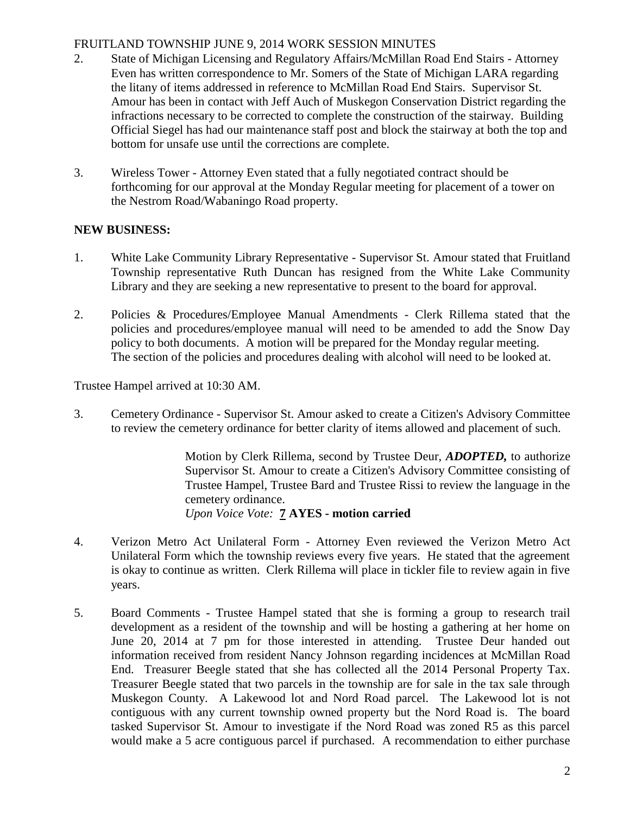# FRUITLAND TOWNSHIP JUNE 9, 2014 WORK SESSION MINUTES

- 2. State of Michigan Licensing and Regulatory Affairs/McMillan Road End Stairs Attorney Even has written correspondence to Mr. Somers of the State of Michigan LARA regarding the litany of items addressed in reference to McMillan Road End Stairs. Supervisor St. Amour has been in contact with Jeff Auch of Muskegon Conservation District regarding the infractions necessary to be corrected to complete the construction of the stairway. Building Official Siegel has had our maintenance staff post and block the stairway at both the top and bottom for unsafe use until the corrections are complete.
- 3. Wireless Tower Attorney Even stated that a fully negotiated contract should be forthcoming for our approval at the Monday Regular meeting for placement of a tower on the Nestrom Road/Wabaningo Road property.

# **NEW BUSINESS:**

- 1. White Lake Community Library Representative Supervisor St. Amour stated that Fruitland Township representative Ruth Duncan has resigned from the White Lake Community Library and they are seeking a new representative to present to the board for approval.
- 2. Policies & Procedures/Employee Manual Amendments Clerk Rillema stated that the policies and procedures/employee manual will need to be amended to add the Snow Day policy to both documents. A motion will be prepared for the Monday regular meeting. The section of the policies and procedures dealing with alcohol will need to be looked at.

Trustee Hampel arrived at 10:30 AM.

3. Cemetery Ordinance - Supervisor St. Amour asked to create a Citizen's Advisory Committee to review the cemetery ordinance for better clarity of items allowed and placement of such.

> Motion by Clerk Rillema, second by Trustee Deur, *ADOPTED,* to authorize Supervisor St. Amour to create a Citizen's Advisory Committee consisting of Trustee Hampel, Trustee Bard and Trustee Rissi to review the language in the cemetery ordinance. *Upon Voice Vote:* **7 AYES - motion carried**

- 4. Verizon Metro Act Unilateral Form Attorney Even reviewed the Verizon Metro Act Unilateral Form which the township reviews every five years. He stated that the agreement is okay to continue as written. Clerk Rillema will place in tickler file to review again in five years.
- 5. Board Comments Trustee Hampel stated that she is forming a group to research trail development as a resident of the township and will be hosting a gathering at her home on June 20, 2014 at 7 pm for those interested in attending. Trustee Deur handed out information received from resident Nancy Johnson regarding incidences at McMillan Road End. Treasurer Beegle stated that she has collected all the 2014 Personal Property Tax. Treasurer Beegle stated that two parcels in the township are for sale in the tax sale through Muskegon County. A Lakewood lot and Nord Road parcel. The Lakewood lot is not contiguous with any current township owned property but the Nord Road is. The board tasked Supervisor St. Amour to investigate if the Nord Road was zoned R5 as this parcel would make a 5 acre contiguous parcel if purchased. A recommendation to either purchase